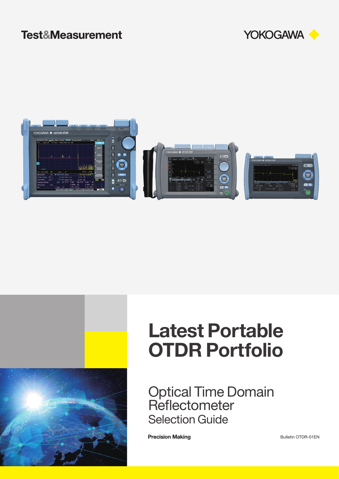# **Test&Measurement**







# Latest Portable OTDR Portfolio

Optical Time Domain **Reflectometer** Selection Guide

**Precision Making** 

Bulletin OTDR-01EN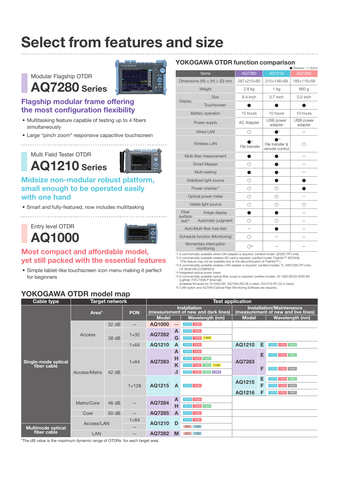# Select from features and size

# Modular Flagship OTDR AQ7280 Series



# Flagship modular frame offering the most configuration flexibility

- Multitasking feature capable of testing up to 4 fibers simultaneously
- Large "pinch zoom" responsive capacitive touchscreen

### Multi Field Tester OTDR

<u>. . . . . . . . . . . . . . . .</u>

AQ1210 Series



## Midsize non-modular robust platform, small enough to be operated easily with one hand

• Smart and fully-featured, now includes multitasking

Entry level OTDR AQ1000



### Most compact and affordable model, yet still packed with the essential features

• Simple tablet-like touchscreen icon menu making it perfect for beginners

# YOKOGAWA OTDR model map

### YOKOGAWA OTDR function comparison

|                                   |                                             |                      |                                         | Standard $\bigcirc$ Option |
|-----------------------------------|---------------------------------------------|----------------------|-----------------------------------------|----------------------------|
|                                   | Items                                       | AQ7280<br>AQ1210     |                                         | AQ1000                     |
|                                   | Dimensions (W) $\times$ (H) $\times$ (D) mm | 287×210×80           | 210×148×69                              | 185×116×56                 |
|                                   | Weight                                      | 2.8 kg               | 1 kg                                    | 660 g                      |
|                                   | <b>Size</b>                                 | 8.4-inch             | $5.7$ -inch                             | 5.0-inch                   |
| Display                           | Touchscreen                                 |                      |                                         |                            |
|                                   | <b>Battery operation</b>                    | 15 hours<br>10 hours |                                         | 10 hours                   |
|                                   | Power supply                                | <b>AC Adapter</b>    | USB power<br>adapter                    | USB power<br>adapter       |
|                                   | Wired LAN                                   | 0                    | <b>1</b>                                |                            |
|                                   | Wireless LAN                                | File transfer        | ŗЗ<br>File transfer &<br>remote control |                            |
|                                   | Multi-fiber measurement                     |                      |                                         |                            |
|                                   | <b>Smart Mapper</b>                         | ( )                  |                                         |                            |
|                                   | Multi-tasking                               |                      |                                         |                            |
|                                   | Stabilized light source                     | ( )                  |                                         |                            |
|                                   | Power checker*4                             | ○                    |                                         |                            |
|                                   | Optical power meter                         | ⊖                    |                                         |                            |
| Visible light source              |                                             | 0                    |                                         |                            |
| Fiber<br>Image display<br>surface |                                             |                      |                                         |                            |
| test <sup>*5</sup>                | Automatic judgment                          |                      |                                         |                            |
|                                   | Auto/Multi-fiber loss test                  |                      |                                         |                            |
|                                   | Schedule function (Monitoring)              | ( )                  |                                         |                            |
|                                   | Momentary interruption<br>monitoring        | ( )*6                |                                         |                            |

\*1 A commercially available wired LAN adapter is required. (verified model: UE300 (TP-Link)) \*2 A commercially available wireless SD card is required. (verified model: FlashAir™ (KIOXIA))

 (This feature may not be available due to the discontinuation of FlashAir™.) \*3 A commercially available wireless LAN adapter is required. (verified models: TL-WN725N (TP-Link), CF-WU810N (COMFAST))

\*4 Integrated optical power meter

\*5 A commercially available optical fiber scope is required. (verified models: DI-1000-B2/DI-2000-B2 (Lightel), FVO-730B-P (Eternal))

(Available firmware for DI-2000-B2: AQ7280 (R2.08 or later), AQ1210 (R1.03 or later)) \*6 /LAN option and AQ7940 Optical Fiber Monitoring Software are required.

| Cable type                         | <b>Target network</b> |       | <b>Test application</b>  |                                                                                                                                      |                             |                        |              |                |                        |
|------------------------------------|-----------------------|-------|--------------------------|--------------------------------------------------------------------------------------------------------------------------------------|-----------------------------|------------------------|--------------|----------------|------------------------|
|                                    | Area*                 |       | <b>PON</b>               | <b>Installation</b><br><b>Installation/Maintenance</b><br>(measurement of new and dark lines)<br>(measurement of new and live lines) |                             |                        |              |                |                        |
|                                    |                       |       |                          | <b>Model</b>                                                                                                                         |                             | <b>Wavelength (nm)</b> | <b>Model</b> |                | <b>Wavelength (nm)</b> |
|                                    |                       | 32 dB | $\overline{\phantom{0}}$ | AQ1000                                                                                                                               |                             | 1310 1550              |              |                |                        |
|                                    | <b>Access</b>         |       |                          | AQ7282                                                                                                                               | A                           | 1310 1550              |              |                |                        |
|                                    |                       | 38 dB | $1 \times 32$            |                                                                                                                                      | G                           | 1310 1550 1490         |              |                |                        |
|                                    |                       |       | $1\times 64$             | AQ1210                                                                                                                               | Α                           | 1310 1550              | AQ1210       | Е              | 1310 1550 1625         |
|                                    |                       |       | $1\times 64$             |                                                                                                                                      | A                           | 1310 1550              |              | Е              | 1310 1550 1625         |
|                                    | Access/Metro          | 42 dB |                          | AQ7283                                                                                                                               | н                           | 1310 1550 1625         | AQ7283       |                |                        |
| Single-mode optical<br>fiber cable |                       |       |                          |                                                                                                                                      | Κ                           | 1310 1550 1625 1490    |              | F              | 1310 1550 1650         |
|                                    |                       |       |                          |                                                                                                                                      | J                           | 1310 1550 1625 1383    |              |                |                        |
|                                    |                       |       | $1 \times 128$           | AQ1215                                                                                                                               |                             |                        | AQ1215       | Е              | 1310 1550 1625         |
|                                    |                       |       |                          |                                                                                                                                      | $\overline{A}$<br>1310 1550 |                        | F            | 1310 1550 1650 |                        |
|                                    |                       |       |                          |                                                                                                                                      |                             |                        | AQ1216       | F              | 1310 1550 1650         |
|                                    | Metro/Core            | 46 dB | —                        | AQ7284<br>н                                                                                                                          | $\mathsf{A}$                | 1310 1550              |              |                |                        |
|                                    |                       |       |                          |                                                                                                                                      |                             | 1310 1550 1625         |              |                |                        |
|                                    | Core                  | 50 dB | $\overline{\phantom{0}}$ | AQ7285                                                                                                                               | A                           | 1310 1550              |              |                |                        |
|                                    | Access/LAN            |       | $1\times 64$             | AQ1210                                                                                                                               | D                           | 1310 1550              |              |                |                        |
| <b>Multimode optical</b>           |                       |       | –                        |                                                                                                                                      |                             | 850 1300               |              |                |                        |
| fiber cable                        | <b>LAN</b>            |       | $\overline{\phantom{0}}$ | AQ7282                                                                                                                               | M                           | 850 1300               |              |                |                        |

\*The dB value is the maximum dynamic range of OTDRs for each target area.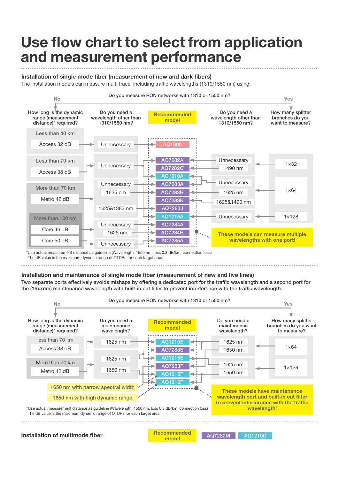# Use flow chart to select from application and measurement performance

Installation of single mode fiber (measurement of new and dark fibers)

The installation models can measure multi trace, including traffic wavelengths (1310/1550 nm) using.



\*Use actual measurement distance as guideline (Wavelength: 1550 nm, loss 0.3 dB/km, connection loss) The dB value is the maximum dynamic range of OTDRs for each target area.

### Installation and maintenance of single mode fiber (measurement of new and live lines)

Two separate ports effectively avoids mishaps by offering a dedicated port for the traffic wavelength and a second port for the (16xxnm) maintenance wavelength with built-in cut filter to prevent interference with the traffic wavelength.



Installation of multimode fiber **ACTE STARK CONTROLLER MOVE ARTICLE** AQ7282M **AQ1210D**